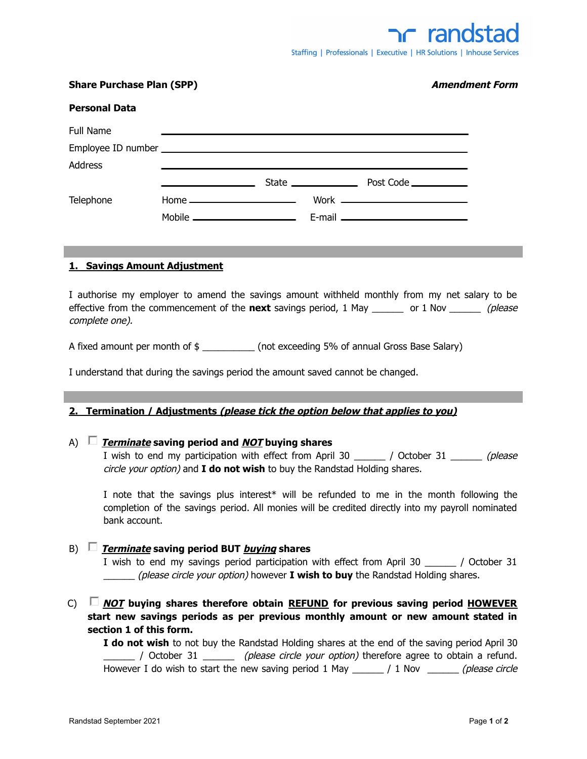| <b>Share Purchase Plan (SPP)</b> |                                                |                                                             |                                                                       | <b>Amendment Form</b> |  |
|----------------------------------|------------------------------------------------|-------------------------------------------------------------|-----------------------------------------------------------------------|-----------------------|--|
| <b>Personal Data</b>             |                                                |                                                             |                                                                       |                       |  |
| Full Name                        |                                                |                                                             | <u> 1980 - Jan Samuel Barbara, margaret eta idazlearia (h. 1980).</u> |                       |  |
|                                  |                                                |                                                             |                                                                       |                       |  |
| <b>Address</b>                   |                                                | <u> 1989 - Johann Stoff, amerikansk politiker (d. 1989)</u> |                                                                       |                       |  |
|                                  | <u> The Communication of the Communication</u> |                                                             |                                                                       |                       |  |
| Telephone                        |                                                | $Home$ $\qquad$                                             |                                                                       |                       |  |
|                                  |                                                |                                                             |                                                                       |                       |  |
|                                  |                                                |                                                             |                                                                       |                       |  |

# **1. Savings Amount Adjustment**

I authorise my employer to amend the savings amount withheld monthly from my net salary to be effective from the commencement of the **next** savings period, 1 May or 1 Nov *(please*) complete one).

A fixed amount per month of  $\frac{1}{2}$  \_\_\_\_\_\_\_\_\_\_\_\_\_\_\_ (not exceeding 5% of annual Gross Base Salary)

I understand that during the savings period the amount saved cannot be changed.

### **2. Termination / Adjustments (please tick the option below that applies to you)**

# A) **Terminate saving period and NOT buying shares**

I wish to end my participation with effect from April 30  $\qquad$  / October 31  $\qquad$  (please circle your option) and **I do not wish** to buy the Randstad Holding shares.

I note that the savings plus interest\* will be refunded to me in the month following the completion of the savings period. All monies will be credited directly into my payroll nominated bank account.

# B) **Terminate saving period BUT buying shares**

I wish to end my savings period participation with effect from April 30  $\qquad$  / October 31 \_\_\_\_\_\_ (please circle your option) however **I wish to buy** the Randstad Holding shares.

C) **NOT buying shares therefore obtain REFUND for previous saving period HOWEVER start new savings periods as per previous monthly amount or new amount stated in section 1 of this form.**

**I do not wish** to not buy the Randstad Holding shares at the end of the saving period April 30  $\Box$  / October 31  $\Box$  (please circle your option) therefore agree to obtain a refund. However I do wish to start the new saving period 1 May \_\_\_\_\_\_ / 1 Nov \_\_\_\_\_\_\_ (please circle